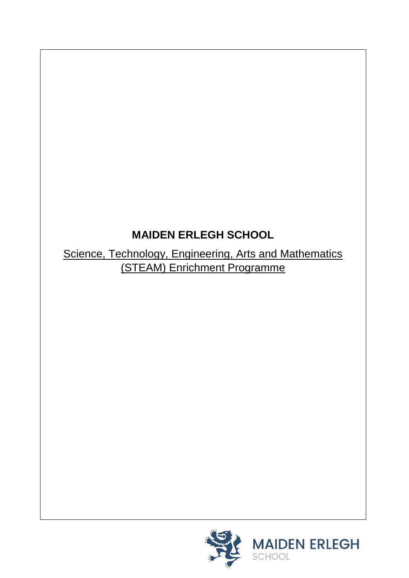# **MAIDEN ERLEGH SCHOOL**

Science, Technology, Engineering, Arts and Mathematics (STEAM) Enrichment Programme

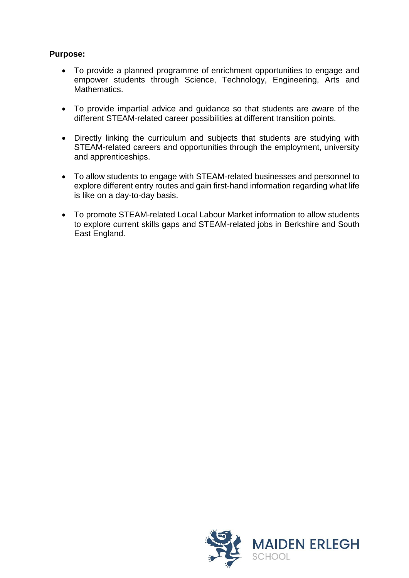## **Purpose:**

- To provide a planned programme of enrichment opportunities to engage and empower students through Science, Technology, Engineering, Arts and Mathematics.
- To provide impartial advice and guidance so that students are aware of the different STEAM-related career possibilities at different transition points.
- Directly linking the curriculum and subjects that students are studying with STEAM-related careers and opportunities through the employment, university and apprenticeships.
- To allow students to engage with STEAM-related businesses and personnel to explore different entry routes and gain first-hand information regarding what life is like on a day-to-day basis.
- To promote STEAM-related Local Labour Market information to allow students to explore current skills gaps and STEAM-related jobs in Berkshire and South East England.

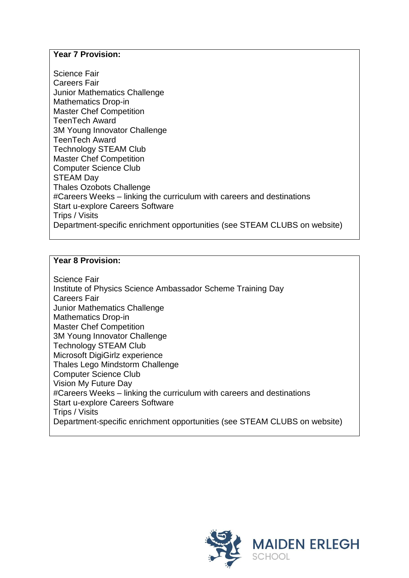## **Year 7 Provision:**

Science Fair Careers Fair Junior Mathematics Challenge Mathematics Drop-in Master Chef Competition TeenTech Award 3M Young Innovator Challenge TeenTech Award Technology STEAM Club Master Chef Competition Computer Science Club STEAM Day Thales Ozobots Challenge #Careers Weeks – linking the curriculum with careers and destinations Start u-explore Careers Software Trips / Visits Department-specific enrichment opportunities (see STEAM CLUBS on website)

#### **Year 8 Provision:**

Science Fair Institute of Physics Science Ambassador Scheme Training Day Careers Fair Junior Mathematics Challenge Mathematics Drop-in Master Chef Competition 3M Young Innovator Challenge Technology STEAM Club Microsoft DigiGirlz experience Thales Lego Mindstorm Challenge Computer Science Club Vision My Future Day #Careers Weeks – linking the curriculum with careers and destinations Start u-explore Careers Software Trips / Visits Department-specific enrichment opportunities (see STEAM CLUBS on website)

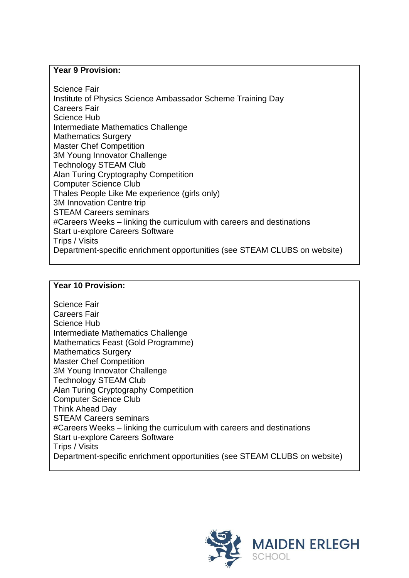#### **Year 9 Provision:**

Science Fair Institute of Physics Science Ambassador Scheme Training Day Careers Fair Science Hub Intermediate Mathematics Challenge Mathematics Surgery Master Chef Competition 3M Young Innovator Challenge Technology STEAM Club Alan Turing Cryptography Competition Computer Science Club Thales People Like Me experience (girls only) 3M Innovation Centre trip STEAM Careers seminars #Careers Weeks – linking the curriculum with careers and destinations Start u-explore Careers Software Trips / Visits Department-specific enrichment opportunities (see STEAM CLUBS on website)

## **Year 10 Provision:**

Science Fair Careers Fair Science Hub Intermediate Mathematics Challenge Mathematics Feast (Gold Programme) Mathematics Surgery Master Chef Competition 3M Young Innovator Challenge Technology STEAM Club Alan Turing Cryptography Competition Computer Science Club Think Ahead Day STEAM Careers seminars #Careers Weeks – linking the curriculum with careers and destinations Start u-explore Careers Software Trips / Visits Department-specific enrichment opportunities (see STEAM CLUBS on website)

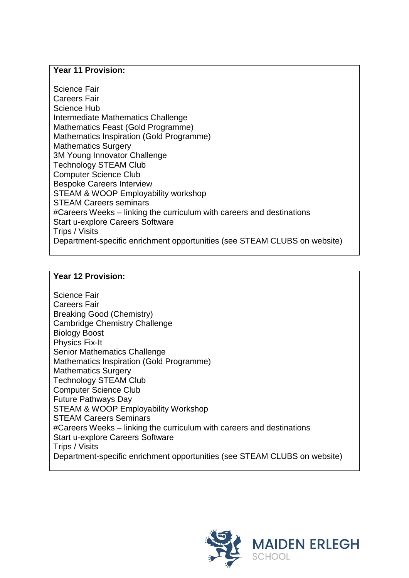#### **Year 11 Provision:**

Science Fair Careers Fair Science Hub Intermediate Mathematics Challenge Mathematics Feast (Gold Programme) Mathematics Inspiration (Gold Programme) Mathematics Surgery 3M Young Innovator Challenge Technology STEAM Club Computer Science Club Bespoke Careers Interview STEAM & WOOP Employability workshop STEAM Careers seminars #Careers Weeks – linking the curriculum with careers and destinations Start u-explore Careers Software Trips / Visits Department-specific enrichment opportunities (see STEAM CLUBS on website)

## **Year 12 Provision:**

Science Fair Careers Fair Breaking Good (Chemistry) Cambridge Chemistry Challenge Biology Boost Physics Fix-It Senior Mathematics Challenge Mathematics Inspiration (Gold Programme) Mathematics Surgery Technology STEAM Club Computer Science Club Future Pathways Day STEAM & WOOP Employability Workshop STEAM Careers Seminars #Careers Weeks – linking the curriculum with careers and destinations Start u-explore Careers Software Trips / Visits Department-specific enrichment opportunities (see STEAM CLUBS on website)